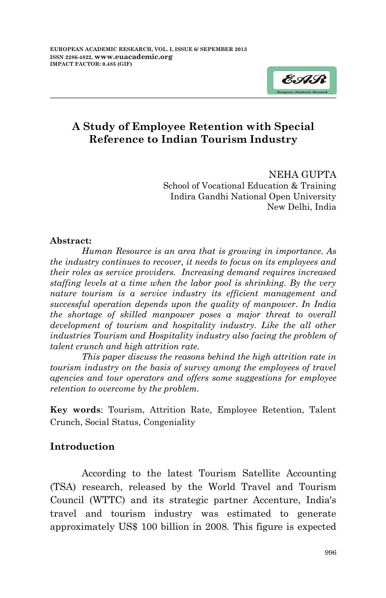

NEHA GUPTA School of Vocational Education & Training Indira Gandhi National Open University New Delhi, India

#### **Abstract:**

*Human Resource is an area that is growing in importance. As the industry continues to recover, it needs to focus on its employees and their roles as service providers. Increasing demand requires increased staffing levels at a time when the labor pool is shrinking. By the very nature tourism is a service industry its efficient management and successful operation depends upon the quality of manpower. In India the shortage of skilled manpower poses a major threat to overall development of tourism and hospitality industry. Like the all other industries Tourism and Hospitality industry also facing the problem of talent crunch and high attrition rate.*

*This paper discuss the reasons behind the high attrition rate in tourism industry on the basis of survey among the employees of travel agencies and tour operators and offers some suggestions for employee retention to overcome by the problem.*

**Key words**: Tourism, Attrition Rate, Employee Retention, Talent Crunch, Social Status, Congeniality

### **Introduction**

According to the latest Tourism Satellite Accounting (TSA) research, released by the World Travel and Tourism Council (WTTC) and its strategic partner Accenture, India's travel and tourism industry was estimated to generate approximately US\$ 100 billion in 2008. This figure is expected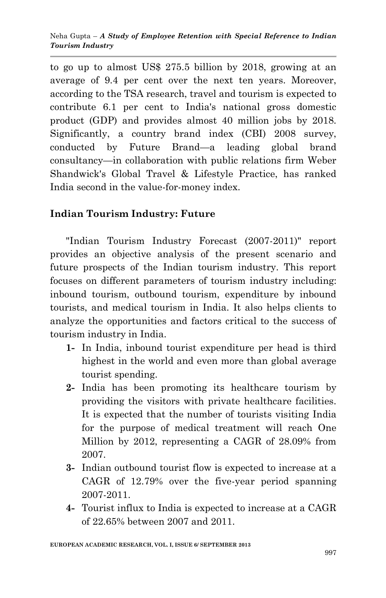to go up to almost US\$ 275.5 billion by 2018, growing at an average of 9.4 per cent over the next ten years. Moreover, according to the TSA research, travel and tourism is expected to contribute 6.1 per cent to India's national gross domestic product (GDP) and provides almost 40 million jobs by 2018. Significantly, a country brand index (CBI) 2008 survey, conducted by Future Brand—a leading global brand consultancy—in collaboration with public relations firm Weber Shandwick's Global Travel & Lifestyle Practice, has ranked India second in the value-for-money index.

## **Indian Tourism Industry: Future**

"Indian Tourism Industry Forecast (2007-2011)" report provides an objective analysis of the present scenario and future prospects of the Indian tourism industry. This report focuses on different parameters of tourism industry including: inbound tourism, outbound tourism, expenditure by inbound tourists, and medical tourism in India. It also helps clients to analyze the opportunities and factors critical to the success of tourism industry in India.

- **1-** In India, inbound tourist expenditure per head is third highest in the world and even more than global average tourist spending.
- **2-** India has been promoting its healthcare tourism by providing the visitors with private healthcare facilities. It is expected that the number of tourists visiting India for the purpose of medical treatment will reach One Million by 2012, representing a CAGR of 28.09% from 2007.
- **3-** Indian outbound tourist flow is expected to increase at a CAGR of 12.79% over the five-year period spanning 2007-2011.
- **4-** Tourist influx to India is expected to increase at a CAGR of 22.65% between 2007 and 2011.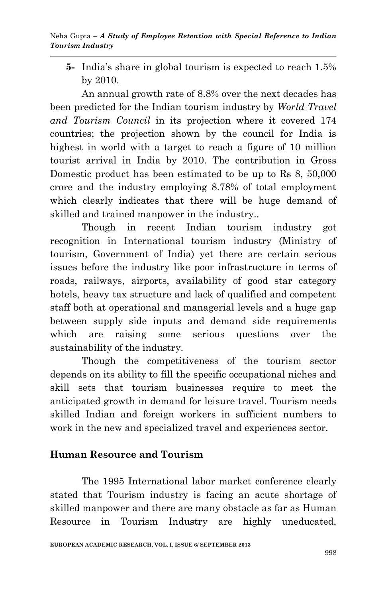**5-** India's share in global tourism is expected to reach 1.5% by 2010.

An annual growth rate of 8.8% over the next decades has been predicted for the Indian tourism industry by *World Travel and Tourism Council* in its projection where it covered 174 countries; the projection shown by the council for India is highest in world with a target to reach a figure of 10 million tourist arrival in India by 2010. The contribution in Gross Domestic product has been estimated to be up to Rs 8, 50,000 crore and the industry employing 8.78% of total employment which clearly indicates that there will be huge demand of skilled and trained manpower in the industry..

Though in recent Indian tourism industry got recognition in International tourism industry (Ministry of tourism, Government of India) yet there are certain serious issues before the industry like poor infrastructure in terms of roads, railways, airports, availability of good star category hotels, heavy tax structure and lack of qualified and competent staff both at operational and managerial levels and a huge gap between supply side inputs and demand side requirements which are raising some serious questions over the sustainability of the industry.

Though the competitiveness of the tourism sector depends on its ability to fill the specific occupational niches and skill sets that tourism businesses require to meet the anticipated growth in demand for leisure travel. Tourism needs skilled Indian and foreign workers in sufficient numbers to work in the new and specialized travel and experiences sector.

## **Human Resource and Tourism**

The 1995 International labor market conference clearly stated that Tourism industry is facing an acute shortage of skilled manpower and there are many obstacle as far as Human Resource in Tourism Industry are highly uneducated,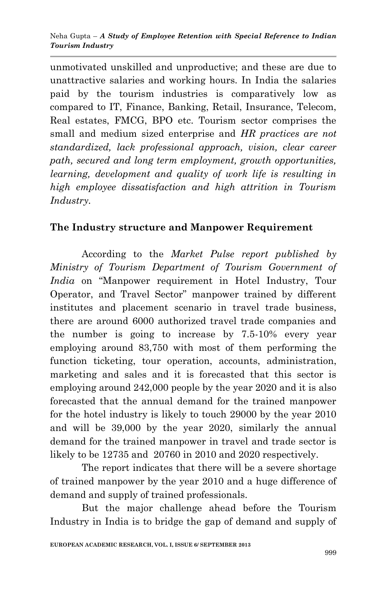unmotivated unskilled and unproductive; and these are due to unattractive salaries and working hours. In India the salaries paid by the tourism industries is comparatively low as compared to IT, Finance, Banking, Retail, Insurance, Telecom, Real estates, FMCG, BPO etc. Tourism sector comprises the small and medium sized enterprise and *HR practices are not standardized, lack professional approach, vision, clear career path, secured and long term employment, growth opportunities, learning, development and quality of work life is resulting in high employee dissatisfaction and high attrition in Tourism Industry.*

### **The Industry structure and Manpower Requirement**

According to the *Market Pulse report published by Ministry of Tourism Department of Tourism Government of India* on "Manpower requirement in Hotel Industry, Tour Operator, and Travel Sector" manpower trained by different institutes and placement scenario in travel trade business, there are around 6000 authorized travel trade companies and the number is going to increase by 7.5-10% every year employing around 83,750 with most of them performing the function ticketing, tour operation, accounts, administration, marketing and sales and it is forecasted that this sector is employing around 242,000 people by the year 2020 and it is also forecasted that the annual demand for the trained manpower for the hotel industry is likely to touch 29000 by the year 2010 and will be 39,000 by the year 2020, similarly the annual demand for the trained manpower in travel and trade sector is likely to be 12735 and 20760 in 2010 and 2020 respectively.

The report indicates that there will be a severe shortage of trained manpower by the year 2010 and a huge difference of demand and supply of trained professionals.

But the major challenge ahead before the Tourism Industry in India is to bridge the gap of demand and supply of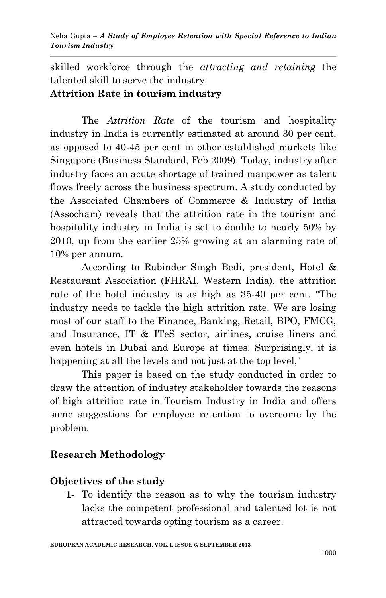skilled workforce through the *attracting and retaining* the talented skill to serve the industry.

#### **Attrition Rate in tourism industry**

The *Attrition Rate* of the tourism and hospitality industry in India is currently estimated at around 30 per cent, as opposed to 40-45 per cent in other established markets like Singapore (Business Standard, Feb 2009). Today, industry after industry faces an acute shortage of trained manpower as talent flows freely across the business spectrum. A study conducted by the Associated Chambers of Commerce & Industry of India (Assocham) reveals that the attrition rate in the tourism and hospitality industry in India is set to double to nearly 50% by 2010, up from the earlier 25% growing at an alarming rate of 10% per annum.

According to Rabinder Singh Bedi, president, Hotel & Restaurant Association (FHRAI, Western India), the attrition rate of the hotel industry is as high as 35-40 per cent. "The industry needs to tackle the high attrition rate. We are losing most of our staff to the Finance, Banking, Retail, BPO, FMCG, and Insurance, IT & ITeS sector, airlines, cruise liners and even hotels in Dubai and Europe at times. Surprisingly, it is happening at all the levels and not just at the top level,"

This paper is based on the study conducted in order to draw the attention of industry stakeholder towards the reasons of high attrition rate in Tourism Industry in India and offers some suggestions for employee retention to overcome by the problem.

### **Research Methodology**

### **Objectives of the study**

**1-** To identify the reason as to why the tourism industry lacks the competent professional and talented lot is not attracted towards opting tourism as a career.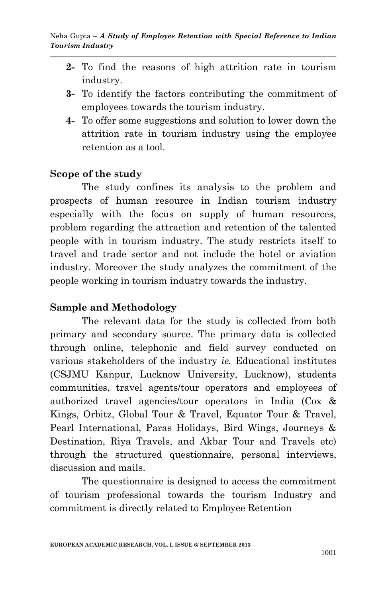- **2-** To find the reasons of high attrition rate in tourism industry.
- **3-** To identify the factors contributing the commitment of employees towards the tourism industry.
- **4-** To offer some suggestions and solution to lower down the attrition rate in tourism industry using the employee retention as a tool.

## **Scope of the study**

The study confines its analysis to the problem and prospects of human resource in Indian tourism industry especially with the focus on supply of human resources, problem regarding the attraction and retention of the talented people with in tourism industry. The study restricts itself to travel and trade sector and not include the hotel or aviation industry. Moreover the study analyzes the commitment of the people working in tourism industry towards the industry.

## **Sample and Methodology**

The relevant data for the study is collected from both primary and secondary source. The primary data is collected through online, telephonic and field survey conducted on various stakeholders of the industry *ie.* Educational institutes (CSJMU Kanpur, Lucknow University, Lucknow), students communities, travel agents/tour operators and employees of authorized travel agencies/tour operators in India (Cox & Kings, Orbitz, Global Tour & Travel, Equator Tour & Travel, Pearl International, Paras Holidays, Bird Wings, Journeys & Destination, Riya Travels, and Akbar Tour and Travels etc) through the structured questionnaire, personal interviews, discussion and mails.

The questionnaire is designed to access the commitment of tourism professional towards the tourism Industry and commitment is directly related to Employee Retention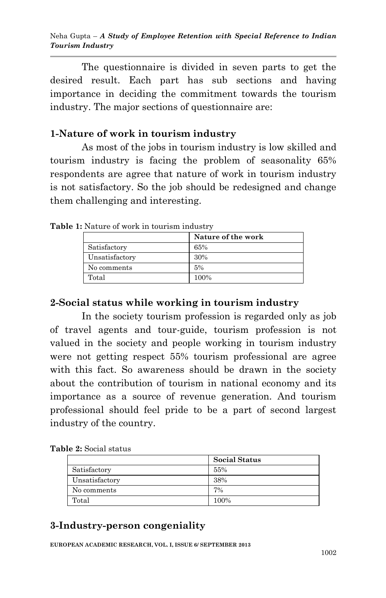The questionnaire is divided in seven parts to get the desired result. Each part has sub sections and having importance in deciding the commitment towards the tourism industry. The major sections of questionnaire are:

#### **1-Nature of work in tourism industry**

As most of the jobs in tourism industry is low skilled and tourism industry is facing the problem of seasonality 65% respondents are agree that nature of work in tourism industry is not satisfactory. So the job should be redesigned and change them challenging and interesting.

|                | Nature of the work |
|----------------|--------------------|
| Satisfactory   | 65%                |
| Unsatisfactory | 30%                |
| No comments    | 5%                 |
| Total          | 100%               |

**Table 1:** Nature of work in tourism industry

## **2-Social status while working in tourism industry**

In the society tourism profession is regarded only as job of travel agents and tour-guide, tourism profession is not valued in the society and people working in tourism industry were not getting respect 55% tourism professional are agree with this fact. So awareness should be drawn in the society about the contribution of tourism in national economy and its importance as a source of revenue generation. And tourism professional should feel pride to be a part of second largest industry of the country.

| <b>Table 2:</b> Social status |  |  |  |
|-------------------------------|--|--|--|
|-------------------------------|--|--|--|

|                | <b>Social Status</b> |
|----------------|----------------------|
| Satisfactory   | 55%                  |
| Unsatisfactory | 38%                  |
| No comments    | 7%                   |
| Total          | 100%                 |
|                |                      |

# **3-Industry-person congeniality**

**EUROPEAN ACADEMIC RESEARCH, VOL. I, ISSUE 6/ SEPTEMBER 2013**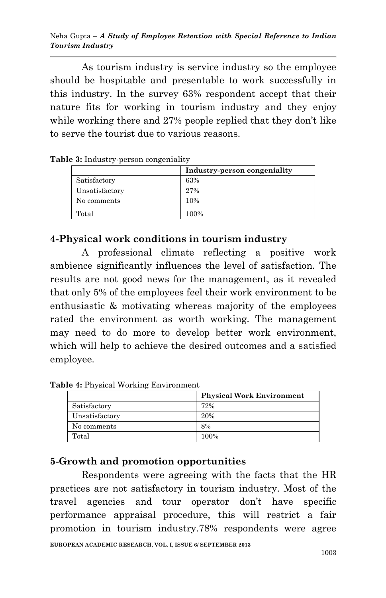As tourism industry is service industry so the employee should be hospitable and presentable to work successfully in this industry. In the survey 63% respondent accept that their nature fits for working in tourism industry and they enjoy while working there and 27% people replied that they don't like to serve the tourist due to various reasons.

|                | Industry-person congeniality |
|----------------|------------------------------|
| Satisfactory   | 63%                          |
| Unsatisfactory | 27%                          |
| No comments    | 10%                          |
| Total          | 100%                         |

**Table 3:** Industry-person congeniality

#### **4-Physical work conditions in tourism industry**

A professional climate reflecting a positive work ambience significantly influences the level of satisfaction. The results are not good news for the management, as it revealed that only 5% of the employees feel their work environment to be enthusiastic & motivating whereas majority of the employees rated the environment as worth working. The management may need to do more to develop better work environment, which will help to achieve the desired outcomes and a satisfied employee.

**Table 4:** Physical Working Environment

|                | <b>Physical Work Environment</b> |
|----------------|----------------------------------|
| Satisfactory   | 72%                              |
| Unsatisfactory | 20%                              |
| No comments    | 8%                               |
| Total          | 100%                             |

#### **5-Growth and promotion opportunities**

**EUROPEAN ACADEMIC RESEARCH, VOL. I, ISSUE 6/ SEPTEMBER 2013** Respondents were agreeing with the facts that the HR practices are not satisfactory in tourism industry. Most of the travel agencies and tour operator don't have specific performance appraisal procedure, this will restrict a fair promotion in tourism industry.78% respondents were agree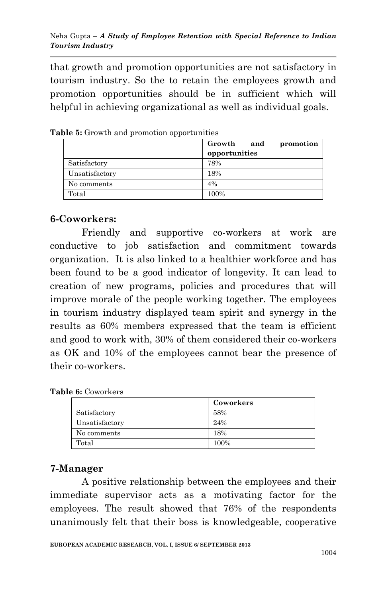that growth and promotion opportunities are not satisfactory in tourism industry. So the to retain the employees growth and promotion opportunities should be in sufficient which will helpful in achieving organizational as well as individual goals.

|                | Growth<br>and<br>promotion<br>opportunities |
|----------------|---------------------------------------------|
| Satisfactory   | 78%                                         |
| Unsatisfactory | 18%                                         |
| No comments    | 4%                                          |
| Total          | 100%                                        |

**Table 5:** Growth and promotion opportunities

## **6-Coworkers:**

Friendly and supportive co-workers at work are conductive to job satisfaction and commitment towards organization. It is also linked to a healthier workforce and has been found to be a good indicator of longevity. It can lead to creation of new programs, policies and procedures that will improve morale of the people working together. The employees in tourism industry displayed team spirit and synergy in the results as 60% members expressed that the team is efficient and good to work with, 30% of them considered their co-workers as OK and 10% of the employees cannot bear the presence of their co-workers.

|  | Table 6: Coworkers |
|--|--------------------|
|--|--------------------|

|                | Coworkers |
|----------------|-----------|
| Satisfactory   | 58%       |
| Unsatisfactory | 24%       |
| No comments    | 18%       |
| Total          | 100%      |

## **7-Manager**

A positive relationship between the employees and their immediate supervisor acts as a motivating factor for the employees. The result showed that 76% of the respondents unanimously felt that their boss is knowledgeable, cooperative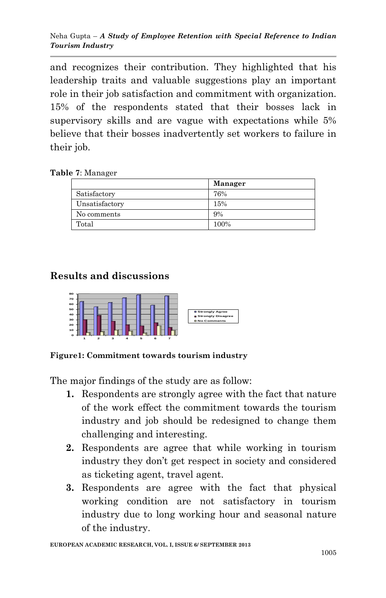and recognizes their contribution. They highlighted that his leadership traits and valuable suggestions play an important role in their job satisfaction and commitment with organization. 15% of the respondents stated that their bosses lack in supervisory skills and are vague with expectations while 5% believe that their bosses inadvertently set workers to failure in their job.

**Table 7**: Manager

|                | Manager |
|----------------|---------|
| Satisfactory   | 76%     |
| Unsatisfactory | 15%     |
| No comments    | 9%      |
| Total          | 100%    |

# **Results and discussions**



**Figure1: Commitment towards tourism industry**

The major findings of the study are as follow:

- **1.** Respondents are strongly agree with the fact that nature of the work effect the commitment towards the tourism industry and job should be redesigned to change them challenging and interesting.
- **2.** Respondents are agree that while working in tourism industry they don't get respect in society and considered as ticketing agent, travel agent.
- **3.** Respondents are agree with the fact that physical working condition are not satisfactory in tourism industry due to long working hour and seasonal nature of the industry.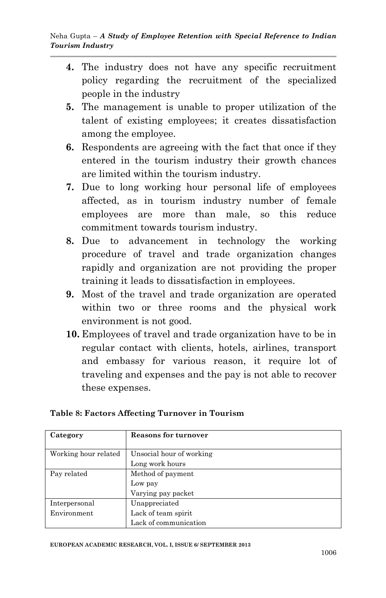- **4.** The industry does not have any specific recruitment policy regarding the recruitment of the specialized people in the industry
- **5.** The management is unable to proper utilization of the talent of existing employees; it creates dissatisfaction among the employee.
- **6.** Respondents are agreeing with the fact that once if they entered in the tourism industry their growth chances are limited within the tourism industry.
- **7.** Due to long working hour personal life of employees affected, as in tourism industry number of female employees are more than male, so this reduce commitment towards tourism industry.
- **8.** Due to advancement in technology the working procedure of travel and trade organization changes rapidly and organization are not providing the proper training it leads to dissatisfaction in employees.
- **9.** Most of the travel and trade organization are operated within two or three rooms and the physical work environment is not good.
- **10.** Employees of travel and trade organization have to be in regular contact with clients, hotels, airlines, transport and embassy for various reason, it require lot of traveling and expenses and the pay is not able to recover these expenses.

| Category             | <b>Reasons for turnover</b> |
|----------------------|-----------------------------|
| Working hour related | Unsocial hour of working    |
|                      | Long work hours             |
| Pay related          | Method of payment           |
|                      | Low pay                     |
|                      | Varying pay packet          |
| Interpersonal        | Unappreciated               |
| Environment          | Lack of team spirit         |
|                      | Lack of communication       |

#### **Table 8: Factors Affecting Turnover in Tourism**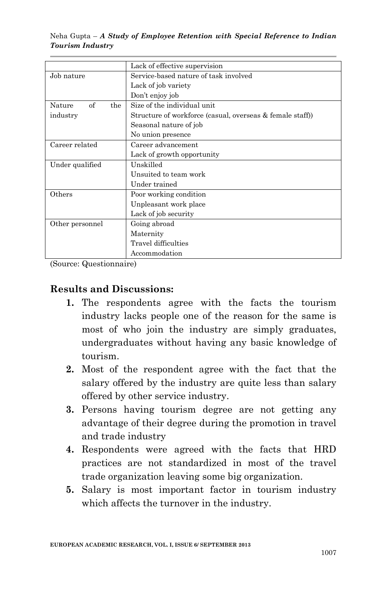|                     | Lack of effective supervision                             |
|---------------------|-----------------------------------------------------------|
| Job nature          | Service-based nature of task involved                     |
|                     | Lack of job variety                                       |
|                     | Don't enjoy job                                           |
| of<br>Nature<br>the | Size of the individual unit.                              |
| industry            | Structure of workforce (casual, overseas & female staff)) |
|                     | Seasonal nature of job                                    |
|                     | No union presence                                         |
| Career related      | Career advancement                                        |
|                     | Lack of growth opportunity                                |
| Under qualified     | Unskilled                                                 |
|                     | Unsuited to team work                                     |
|                     | Under trained                                             |
| Others              | Poor working condition                                    |
|                     | Unpleasant work place                                     |
|                     | Lack of job security                                      |
| Other personnel     | Going abroad                                              |
|                     | Maternity                                                 |
|                     | Travel difficulties                                       |
|                     | Accommodation                                             |

(Source: Questionnaire)

#### **Results and Discussions:**

- **1.** The respondents agree with the facts the tourism industry lacks people one of the reason for the same is most of who join the industry are simply graduates, undergraduates without having any basic knowledge of tourism.
- **2.** Most of the respondent agree with the fact that the salary offered by the industry are quite less than salary offered by other service industry.
- **3.** Persons having tourism degree are not getting any advantage of their degree during the promotion in travel and trade industry
- **4.** Respondents were agreed with the facts that HRD practices are not standardized in most of the travel trade organization leaving some big organization.
- **5.** Salary is most important factor in tourism industry which affects the turnover in the industry.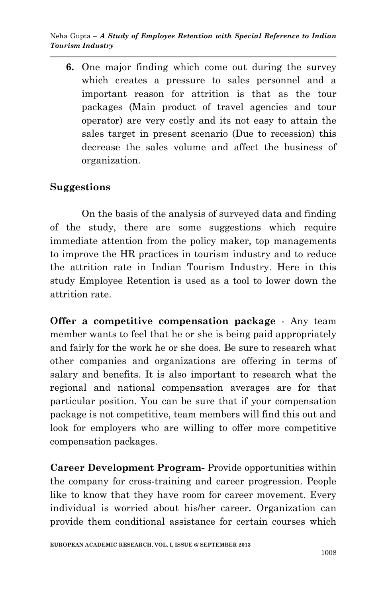**6.** One major finding which come out during the survey which creates a pressure to sales personnel and a important reason for attrition is that as the tour packages (Main product of travel agencies and tour operator) are very costly and its not easy to attain the sales target in present scenario (Due to recession) this decrease the sales volume and affect the business of organization.

## **Suggestions**

On the basis of the analysis of surveyed data and finding of the study, there are some suggestions which require immediate attention from the policy maker, top managements to improve the HR practices in tourism industry and to reduce the attrition rate in Indian Tourism Industry. Here in this study Employee Retention is used as a tool to lower down the attrition rate.

**Offer a competitive compensation package** - Any team member wants to feel that he or she is being paid appropriately and fairly for the work he or she does. Be sure to research what other companies and organizations are offering in terms of salary and benefits. It is also important to research what the regional and national compensation averages are for that particular position. You can be sure that if your compensation package is not competitive, team members will find this out and look for employers who are willing to offer more competitive compensation packages.

**Career Development Program-** Provide opportunities within the company for cross-training and career progression. People like to know that they have room for career movement. Every individual is worried about his/her career. Organization can provide them conditional assistance for certain courses which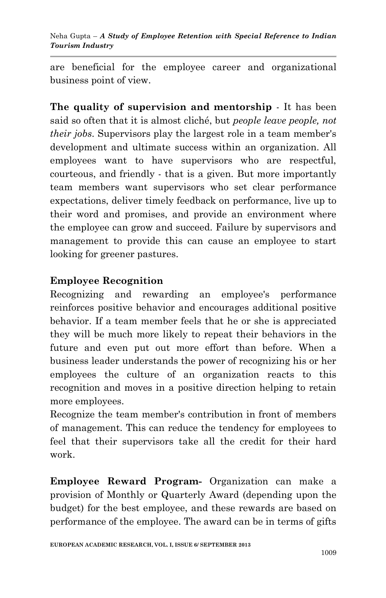are beneficial for the employee career and organizational business point of view.

**The quality of supervision and mentorship** - It has been said so often that it is almost cliché, but *people leave people, not their jobs*. Supervisors play the largest role in a team member's development and ultimate success within an organization. All employees want to have supervisors who are respectful, courteous, and friendly - that is a given. But more importantly team members want supervisors who set clear performance expectations, deliver timely feedback on performance, live up to their word and promises, and provide an environment where the employee can grow and succeed. Failure by supervisors and management to provide this can cause an employee to start looking for greener pastures.

# **Employee Recognition**

Recognizing and rewarding an employee's performance reinforces positive behavior and encourages additional positive behavior. If a team member feels that he or she is appreciated they will be much more likely to repeat their behaviors in the future and even put out more effort than before. When a business leader understands the power of recognizing his or her employees the culture of an organization reacts to this recognition and moves in a positive direction helping to retain more employees.

Recognize the team member's contribution in front of members of management. This can reduce the tendency for employees to feel that their supervisors take all the credit for their hard work.

**Employee Reward Program-** Organization can make a provision of Monthly or Quarterly Award (depending upon the budget) for the best employee, and these rewards are based on performance of the employee. The award can be in terms of gifts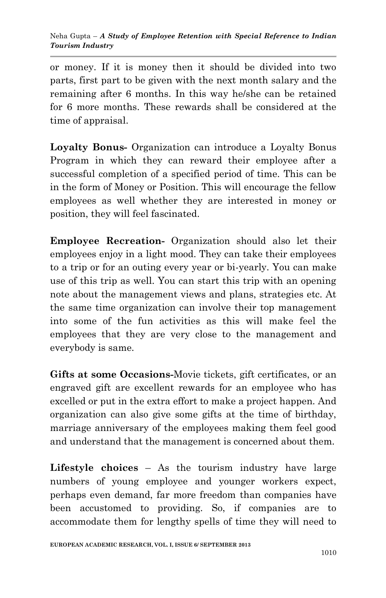or money. If it is money then it should be divided into two parts, first part to be given with the next month salary and the remaining after 6 months. In this way he/she can be retained for 6 more months. These rewards shall be considered at the time of appraisal.

**Loyalty Bonus-** Organization can introduce a Loyalty Bonus Program in which they can reward their employee after a successful completion of a specified period of time. This can be in the form of Money or Position. This will encourage the fellow employees as well whether they are interested in money or position, they will feel fascinated.

**Employee Recreation-** Organization should also let their employees enjoy in a light mood. They can take their employees to a trip or for an outing every year or bi-yearly. You can make use of this trip as well. You can start this trip with an opening note about the management views and plans, strategies etc. At the same time organization can involve their top management into some of the fun activities as this will make feel the employees that they are very close to the management and everybody is same.

**Gifts at some Occasions-**Movie tickets, gift certificates, or an engraved gift are excellent rewards for an employee who has excelled or put in the extra effort to make a project happen. And organization can also give some gifts at the time of birthday, marriage anniversary of the employees making them feel good and understand that the management is concerned about them.

**Lifestyle choices** – As the tourism industry have large numbers of young employee and younger workers expect, perhaps even demand, far more freedom than companies have been accustomed to providing. So, if companies are to accommodate them for lengthy spells of time they will need to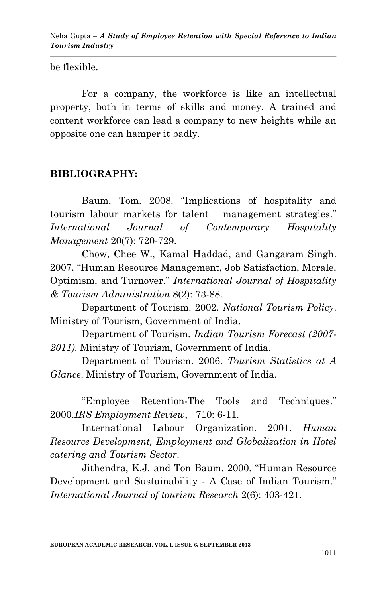be flexible.

For a company, the workforce is like an intellectual property, both in terms of skills and money. A trained and content workforce can lead a company to new heights while an opposite one can hamper it badly.

### **BIBLIOGRAPHY:**

Baum, Tom. 2008. "Implications of hospitality and tourism labour markets for talent management strategies." *International Journal of Contemporary Hospitality Management* 20(7): 720-729.

Chow, Chee W., Kamal Haddad, and Gangaram Singh. 2007. "Human Resource Management, Job Satisfaction, Morale, Optimism, and Turnover.‖ *International Journal of Hospitality & Tourism Administration* 8(2): 73-88.

Department of Tourism. 2002. *National Tourism Policy*. Ministry of Tourism, Government of India.

Department of Tourism. *Indian Tourism Forecast (2007- 2011).* Ministry of Tourism, Government of India.

Department of Tourism. 2006. *Tourism Statistics at A Glance*. Ministry of Tourism, Government of India.

―Employee Retention-The Tools and Techniques*.*‖ 2000.*IRS Employment Review*, 710: 6-11.

International Labour Organization. 2001. *Human Resource Development, Employment and Globalization in Hotel catering and Tourism Sector.*

Jithendra, K.J. and Ton Baum. 2000. "Human Resource Development and Sustainability - A Case of Indian Tourism." *International Journal of tourism Research* 2(6): 403-421.